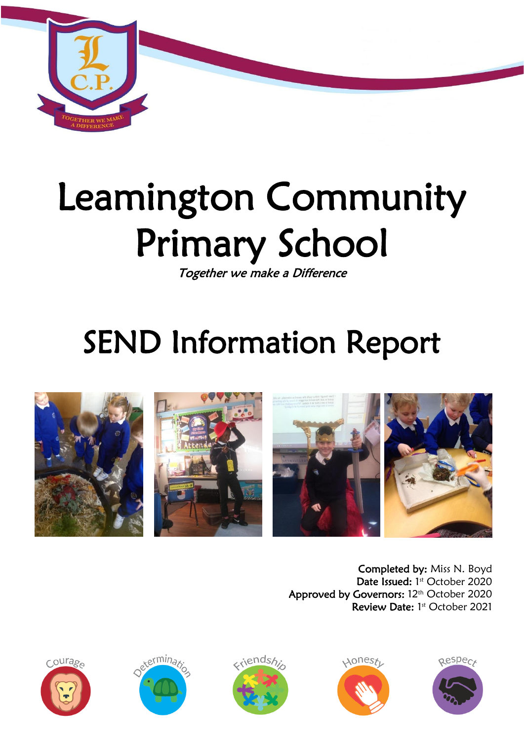

# Leamington Community Primary School

Together we make a Difference

# SEND Information Report



Completed by: Miss N. Boyd Date Issued: 1st October 2020 Approved by Governors: 12<sup>th</sup> October 2020 Review Date: 1st October 2021









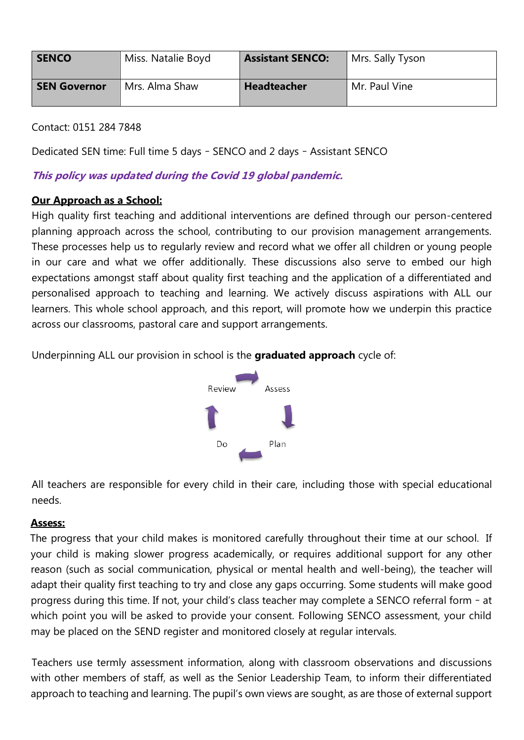| <b>SENCO</b>        | Miss. Natalie Boyd | <b>Assistant SENCO:</b> | Mrs. Sally Tyson |
|---------------------|--------------------|-------------------------|------------------|
| <b>SEN Governor</b> | Mrs. Alma Shaw     | <b>Headteacher</b>      | Mr. Paul Vine    |

Contact: 0151 284 7848

Dedicated SEN time: Full time 5 days – SENCO and 2 days – Assistant SENCO

#### **This policy was updated during the Covid 19 global pandemic.**

#### **Our Approach as a School:**

High quality first teaching and additional interventions are defined through our person-centered planning approach across the school, contributing to our provision management arrangements. These processes help us to regularly review and record what we offer all children or young people in our care and what we offer additionally. These discussions also serve to embed our high expectations amongst staff about quality first teaching and the application of a differentiated and personalised approach to teaching and learning. We actively discuss aspirations with ALL our learners. This whole school approach, and this report, will promote how we underpin this practice across our classrooms, pastoral care and support arrangements.

Underpinning ALL our provision in school is the **graduated approach** cycle of:



All teachers are responsible for every child in their care, including those with special educational needs.

#### **Assess:**

 The progress that your child makes is monitored carefully throughout their time at our school. If your child is making slower progress academically, or requires additional support for any other reason (such as social communication, physical or mental health and well-being), the teacher will adapt their quality first teaching to try and close any gaps occurring. Some students will make good progress during this time. If not, your child's class teacher may complete a SENCO referral form – at which point you will be asked to provide your consent. Following SENCO assessment, your child may be placed on the SEND register and monitored closely at regular intervals.

Teachers use termly assessment information, along with classroom observations and discussions with other members of staff, as well as the Senior Leadership Team, to inform their differentiated approach to teaching and learning. The pupil's own views are sought, as are those of external support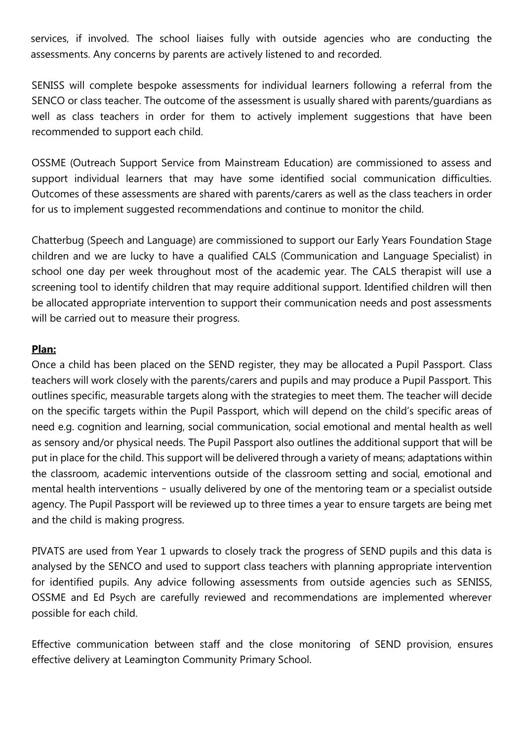services, if involved. The school liaises fully with outside agencies who are conducting the assessments. Any concerns by parents are actively listened to and recorded.

SENISS will complete bespoke assessments for individual learners following a referral from the SENCO or class teacher. The outcome of the assessment is usually shared with parents/guardians as well as class teachers in order for them to actively implement suggestions that have been recommended to support each child.

OSSME (Outreach Support Service from Mainstream Education) are commissioned to assess and support individual learners that may have some identified social communication difficulties. Outcomes of these assessments are shared with parents/carers as well as the class teachers in order for us to implement suggested recommendations and continue to monitor the child.

Chatterbug (Speech and Language) are commissioned to support our Early Years Foundation Stage children and we are lucky to have a qualified CALS (Communication and Language Specialist) in school one day per week throughout most of the academic year. The CALS therapist will use a screening tool to identify children that may require additional support. Identified children will then be allocated appropriate intervention to support their communication needs and post assessments will be carried out to measure their progress.

#### **Plan:**

Once a child has been placed on the SEND register, they may be allocated a Pupil Passport. Class teachers will work closely with the parents/carers and pupils and may produce a Pupil Passport. This outlines specific, measurable targets along with the strategies to meet them. The teacher will decide on the specific targets within the Pupil Passport, which will depend on the child's specific areas of need e.g. cognition and learning, social communication, social emotional and mental health as well as sensory and/or physical needs. The Pupil Passport also outlines the additional support that will be put in place for the child. This support will be delivered through a variety of means; adaptations within the classroom, academic interventions outside of the classroom setting and social, emotional and mental health interventions – usually delivered by one of the mentoring team or a specialist outside agency. The Pupil Passport will be reviewed up to three times a year to ensure targets are being met and the child is making progress.

PIVATS are used from Year 1 upwards to closely track the progress of SEND pupils and this data is analysed by the SENCO and used to support class teachers with planning appropriate intervention for identified pupils. Any advice following assessments from outside agencies such as SENISS, OSSME and Ed Psych are carefully reviewed and recommendations are implemented wherever possible for each child.

Effective communication between staff and the close monitoring of SEND provision, ensures effective delivery at Leamington Community Primary School.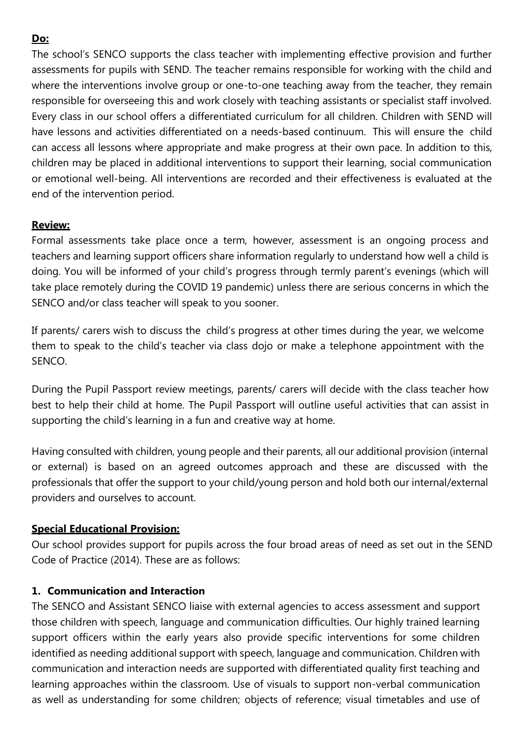#### **Do:**

The school's SENCO supports the class teacher with implementing effective provision and further assessments for pupils with SEND. The teacher remains responsible for working with the child and where the interventions involve group or one-to-one teaching away from the teacher, they remain responsible for overseeing this and work closely with teaching assistants or specialist staff involved. Every class in our school offers a differentiated curriculum for all children. Children with SEND will have lessons and activities differentiated on a needs-based continuum. This will ensure the child can access all lessons where appropriate and make progress at their own pace. In addition to this, children may be placed in additional interventions to support their learning, social communication or emotional well-being. All interventions are recorded and their effectiveness is evaluated at the end of the intervention period.

#### **Review:**

Formal assessments take place once a term, however, assessment is an ongoing process and teachers and learning support officers share information regularly to understand how well a child is doing. You will be informed of your child's progress through termly parent's evenings (which will take place remotely during the COVID 19 pandemic) unless there are serious concerns in which the SENCO and/or class teacher will speak to you sooner.

If parents/ carers wish to discuss the child's progress at other times during the year, we welcome them to speak to the child's teacher via class dojo or make a telephone appointment with the SENCO.

During the Pupil Passport review meetings, parents/ carers will decide with the class teacher how best to help their child at home. The Pupil Passport will outline useful activities that can assist in supporting the child's learning in a fun and creative way at home.

Having consulted with children, young people and their parents, all our additional provision (internal or external) is based on an agreed outcomes approach and these are discussed with the professionals that offer the support to your child/young person and hold both our internal/external providers and ourselves to account.

#### **Special Educational Provision:**

Our school provides support for pupils across the four broad areas of need as set out in the SEND Code of Practice (2014). These are as follows:

#### **1. Communication and Interaction**

The SENCO and Assistant SENCO liaise with external agencies to access assessment and support those children with speech, language and communication difficulties. Our highly trained learning support officers within the early years also provide specific interventions for some children identified as needing additional support with speech, language and communication. Children with communication and interaction needs are supported with differentiated quality first teaching and learning approaches within the classroom. Use of visuals to support non-verbal communication as well as understanding for some children; objects of reference; visual timetables and use of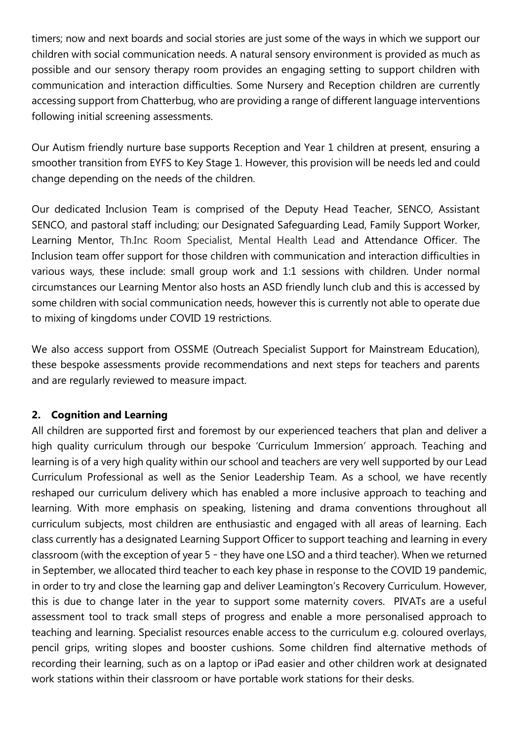timers; now and next boards and social stories are just some of the ways in which we support our children with social communication needs. A natural sensory environment is provided as much as possible and our sensory therapy room provides an engaging setting to support children with communication and interaction difficulties. Some Nursery and Reception children are currently accessing support from Chatterbug, who are providing a range of different language interventions following initial screening assessments.

Our Autism friendly nurture base supports Reception and Year 1 children at present, ensuring a smoother transition from EYFS to Key Stage 1. However, this provision will be needs led and could change depending on the needs of the children.

Our dedicated Inclusion Team is comprised of the Deputy Head Teacher, SENCO, Assistant SENCO, and pastoral staff including; our Designated Safeguarding Lead, Family Support Worker, Learning Mentor, Th.Inc Room Specialist, Mental Health Lead and Attendance Officer. The Inclusion team offer support for those children with communication and interaction difficulties in various ways, these include: small group work and 1:1 sessions with children. Under normal circumstances our Learning Mentor also hosts an ASD friendly lunch club and this is accessed by some children with social communication needs, however this is currently not able to operate due to mixing of kingdoms under COVID 19 restrictions.

We also access support from OSSME (Outreach Specialist Support for Mainstream Education), these bespoke assessments provide recommendations and next steps for teachers and parents and are regularly reviewed to measure impact.

#### **2. Cognition and Learning**

All children are supported first and foremost by our experienced teachers that plan and deliver a high quality curriculum through our bespoke 'Curriculum Immersion' approach. Teaching and learning is of a very high quality within our school and teachers are very well supported by our Lead Curriculum Professional as well as the Senior Leadership Team. As a school, we have recently reshaped our curriculum delivery which has enabled a more inclusive approach to teaching and learning. With more emphasis on speaking, listening and drama conventions throughout all curriculum subjects, most children are enthusiastic and engaged with all areas of learning. Each class currently has a designated Learning Support Officer to support teaching and learning in every classroom (with the exception of year 5 – they have one LSO and a third teacher). When we returned in September, we allocated third teacher to each key phase in response to the COVID 19 pandemic, in order to try and close the learning gap and deliver Leamington's Recovery Curriculum. However, this is due to change later in the year to support some maternity covers. PIVATs are a useful assessment tool to track small steps of progress and enable a more personalised approach to teaching and learning. Specialist resources enable access to the curriculum e.g. coloured overlays, pencil grips, writing slopes and booster cushions. Some children find alternative methods of recording their learning, such as on a laptop or iPad easier and other children work at designated work stations within their classroom or have portable work stations for their desks.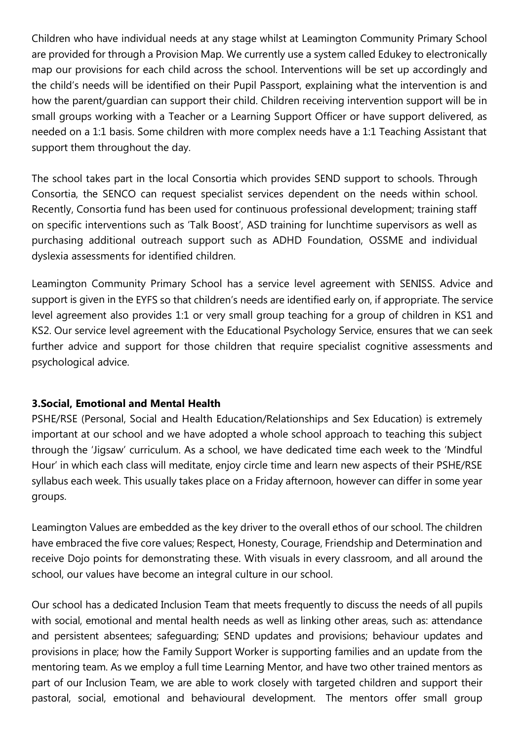Children who have individual needs at any stage whilst at Leamington Community Primary School are provided for through a Provision Map. We currently use a system called Edukey to electronically map our provisions for each child across the school. Interventions will be set up accordingly and the child's needs will be identified on their Pupil Passport, explaining what the intervention is and how the parent/guardian can support their child. Children receiving intervention support will be in small groups working with a Teacher or a Learning Support Officer or have support delivered, as needed on a 1:1 basis. Some children with more complex needs have a 1:1 Teaching Assistant that support them throughout the day.

The school takes part in the local Consortia which provides SEND support to schools. Through Consortia, the SENCO can request specialist services dependent on the needs within school. Recently, Consortia fund has been used for continuous professional development; training staff on specific interventions such as 'Talk Boost', ASD training for lunchtime supervisors as well as purchasing additional outreach support such as ADHD Foundation, OSSME and individual dyslexia assessments for identified children.

Leamington Community Primary School has a service level agreement with SENISS. Advice and support is given in the EYFS so that children's needs are identified early on, if appropriate. The service level agreement also provides 1:1 or very small group teaching for a group of children in KS1 and KS2. Our service level agreement with the Educational Psychology Service, ensures that we can seek further advice and support for those children that require specialist cognitive assessments and psychological advice.

#### **3.Social, Emotional and Mental Health**

PSHE/RSE (Personal, Social and Health Education/Relationships and Sex Education) is extremely important at our school and we have adopted a whole school approach to teaching this subject through the 'Jigsaw' curriculum. As a school, we have dedicated time each week to the 'Mindful Hour' in which each class will meditate, enjoy circle time and learn new aspects of their PSHE/RSE syllabus each week. This usually takes place on a Friday afternoon, however can differ in some year groups.

Leamington Values are embedded as the key driver to the overall ethos of our school. The children have embraced the five core values; Respect, Honesty, Courage, Friendship and Determination and receive Dojo points for demonstrating these. With visuals in every classroom, and all around the school, our values have become an integral culture in our school.

Our school has a dedicated Inclusion Team that meets frequently to discuss the needs of all pupils with social, emotional and mental health needs as well as linking other areas, such as: attendance and persistent absentees; safeguarding; SEND updates and provisions; behaviour updates and provisions in place; how the Family Support Worker is supporting families and an update from the mentoring team. As we employ a full time Learning Mentor, and have two other trained mentors as part of our Inclusion Team, we are able to work closely with targeted children and support their pastoral, social, emotional and behavioural development. The mentors offer small group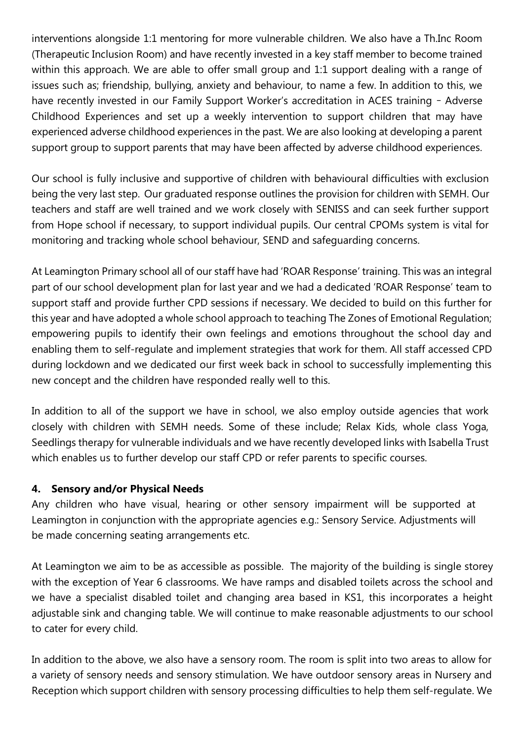interventions alongside 1:1 mentoring for more vulnerable children. We also have a Th.Inc Room (Therapeutic Inclusion Room) and have recently invested in a key staff member to become trained within this approach. We are able to offer small group and 1:1 support dealing with a range of issues such as; friendship, bullying, anxiety and behaviour, to name a few. In addition to this, we have recently invested in our Family Support Worker's accreditation in ACES training - Adverse Childhood Experiences and set up a weekly intervention to support children that may have experienced adverse childhood experiences in the past. We are also looking at developing a parent support group to support parents that may have been affected by adverse childhood experiences.

Our school is fully inclusive and supportive of children with behavioural difficulties with exclusion being the very last step. Our graduated response outlines the provision for children with SEMH. Our teachers and staff are well trained and we work closely with SENISS and can seek further support from Hope school if necessary, to support individual pupils. Our central CPOMs system is vital for monitoring and tracking whole school behaviour, SEND and safeguarding concerns.

At Leamington Primary school all of our staff have had 'ROAR Response' training. This was an integral part of our school development plan for last year and we had a dedicated 'ROAR Response' team to support staff and provide further CPD sessions if necessary. We decided to build on this further for this year and have adopted a whole school approach to teaching The Zones of Emotional Regulation; empowering pupils to identify their own feelings and emotions throughout the school day and enabling them to self-regulate and implement strategies that work for them. All staff accessed CPD during lockdown and we dedicated our first week back in school to successfully implementing this new concept and the children have responded really well to this.

In addition to all of the support we have in school, we also employ outside agencies that work closely with children with SEMH needs. Some of these include; Relax Kids, whole class Yoga, Seedlings therapy for vulnerable individuals and we have recently developed links with Isabella Trust which enables us to further develop our staff CPD or refer parents to specific courses.

#### **4. Sensory and/or Physical Needs**

Any children who have visual, hearing or other sensory impairment will be supported at Leamington in conjunction with the appropriate agencies e.g.: Sensory Service. Adjustments will be made concerning seating arrangements etc.

At Leamington we aim to be as accessible as possible. The majority of the building is single storey with the exception of Year 6 classrooms. We have ramps and disabled toilets across the school and we have a specialist disabled toilet and changing area based in KS1, this incorporates a height adjustable sink and changing table. We will continue to make reasonable adjustments to our school to cater for every child.

In addition to the above, we also have a sensory room. The room is split into two areas to allow for a variety of sensory needs and sensory stimulation. We have outdoor sensory areas in Nursery and Reception which support children with sensory processing difficulties to help them self-regulate. We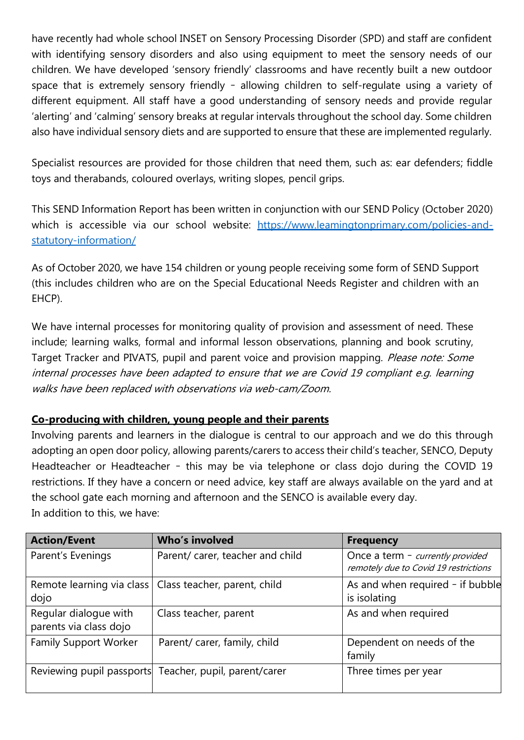have recently had whole school INSET on Sensory Processing Disorder (SPD) and staff are confident with identifying sensory disorders and also using equipment to meet the sensory needs of our children. We have developed 'sensory friendly' classrooms and have recently built a new outdoor space that is extremely sensory friendly – allowing children to self-regulate using a variety of different equipment. All staff have a good understanding of sensory needs and provide regular 'alerting' and 'calming' sensory breaks at regular intervals throughout the school day. Some children also have individual sensory diets and are supported to ensure that these are implemented regularly.

Specialist resources are provided for those children that need them, such as: ear defenders; fiddle toys and therabands, coloured overlays, writing slopes, pencil grips.

This SEND Information Report has been written in conjunction with our SEND Policy (October 2020) which is accessible via our school website: [https://www.leamingtonprimary.com/policies-and](https://www.leamingtonprimary.com/policies-and-statutory-information/)[statutory-information/](https://www.leamingtonprimary.com/policies-and-statutory-information/)

As of October 2020, we have 154 children or young people receiving some form of SEND Support (this includes children who are on the Special Educational Needs Register and children with an EHCP).

We have internal processes for monitoring quality of provision and assessment of need. These include; learning walks, formal and informal lesson observations, planning and book scrutiny, Target Tracker and PIVATS, pupil and parent voice and provision mapping. Please note: Some internal processes have been adapted to ensure that we are Covid 19 compliant e.g. learning walks have been replaced with observations via web-cam/Zoom.

#### **Co-producing with children, young people and their parents**

Involving parents and learners in the dialogue is central to our approach and we do this through adopting an open door policy, allowing parents/carers to access their child's teacher, SENCO, Deputy Headteacher or Headteacher – this may be via telephone or class dojo during the COVID 19 restrictions. If they have a concern or need advice, key staff are always available on the yard and at the school gate each morning and afternoon and the SENCO is available every day. In addition to this, we have:

| <b>Action/Event</b>                             | Who's involved                                           | <b>Frequency</b>                                                          |
|-------------------------------------------------|----------------------------------------------------------|---------------------------------------------------------------------------|
| Parent's Evenings                               | Parent/ carer, teacher and child                         | Once a term - currently provided<br>remotely due to Covid 19 restrictions |
| dojo                                            | Remote learning via class   Class teacher, parent, child | As and when required - if bubble<br>is isolating                          |
| Regular dialogue with<br>parents via class dojo | Class teacher, parent                                    | As and when required                                                      |
| <b>Family Support Worker</b>                    | Parent/ carer, family, child                             | Dependent on needs of the<br>family                                       |
|                                                 | Reviewing pupil passports Teacher, pupil, parent/carer   | Three times per year                                                      |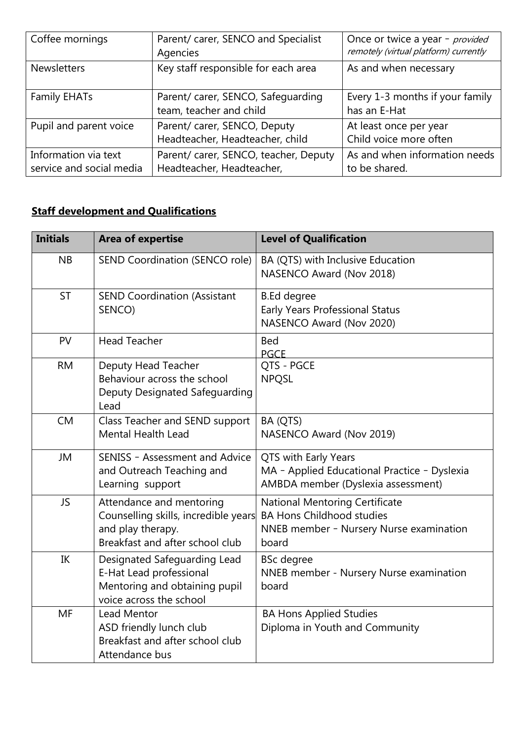| Coffee mornings                                  | Parent/ carer, SENCO and Specialist<br>Agencies                    | Once or twice a year - provided<br>remotely (virtual platform) currently |
|--------------------------------------------------|--------------------------------------------------------------------|--------------------------------------------------------------------------|
| <b>Newsletters</b>                               | Key staff responsible for each area                                | As and when necessary                                                    |
| <b>Family EHATs</b>                              | Parent/ carer, SENCO, Safeguarding<br>team, teacher and child      | Every 1-3 months if your family<br>has an E-Hat                          |
| Pupil and parent voice                           | Parent/ carer, SENCO, Deputy<br>Headteacher, Headteacher, child    | At least once per year<br>Child voice more often                         |
| Information via text<br>service and social media | Parent/ carer, SENCO, teacher, Deputy<br>Headteacher, Headteacher, | As and when information needs<br>to be shared.                           |

# **Staff development and Qualifications**

| <b>Initials</b> | <b>Area of expertise</b>                                                                                                 | <b>Level of Qualification</b>                                                                                                 |
|-----------------|--------------------------------------------------------------------------------------------------------------------------|-------------------------------------------------------------------------------------------------------------------------------|
| <b>NB</b>       | SEND Coordination (SENCO role)                                                                                           | BA (QTS) with Inclusive Education<br>NASENCO Award (Nov 2018)                                                                 |
| <b>ST</b>       | <b>SEND Coordination (Assistant</b><br>SENCO)                                                                            | <b>B.Ed degree</b><br>Early Years Professional Status<br>NASENCO Award (Nov 2020)                                             |
| PV              | <b>Head Teacher</b>                                                                                                      | <b>Bed</b><br><b>PGCE</b>                                                                                                     |
| <b>RM</b>       | Deputy Head Teacher<br>Behaviour across the school<br>Deputy Designated Safeguarding<br>Lead                             | QTS - PGCE<br><b>NPQSL</b>                                                                                                    |
| <b>CM</b>       | Class Teacher and SEND support<br><b>Mental Health Lead</b>                                                              | BA (QTS)<br>NASENCO Award (Nov 2019)                                                                                          |
| <b>JM</b>       | SENISS - Assessment and Advice<br>and Outreach Teaching and<br>Learning support                                          | QTS with Early Years<br>MA - Applied Educational Practice - Dyslexia<br>AMBDA member (Dyslexia assessment)                    |
| <b>JS</b>       | Attendance and mentoring<br>Counselling skills, incredible years<br>and play therapy.<br>Breakfast and after school club | <b>National Mentoring Certificate</b><br><b>BA Hons Childhood studies</b><br>NNEB member - Nursery Nurse examination<br>board |
| IK              | Designated Safeguarding Lead<br>E-Hat Lead professional<br>Mentoring and obtaining pupil<br>voice across the school      | <b>BSc</b> degree<br>NNEB member - Nursery Nurse examination<br>board                                                         |
| MF              | <b>Lead Mentor</b><br>ASD friendly lunch club<br>Breakfast and after school club<br>Attendance bus                       | <b>BA Hons Applied Studies</b><br>Diploma in Youth and Community                                                              |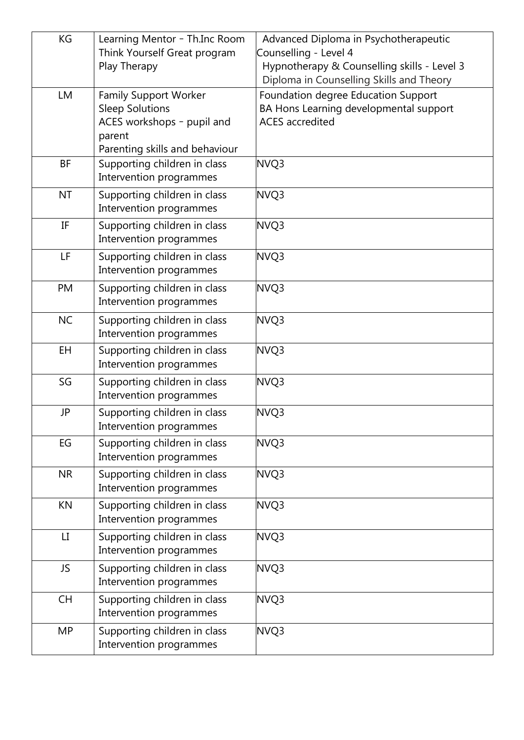| KG        | Learning Mentor - Th.Inc Room  | Advanced Diploma in Psychotherapeutic                                                   |
|-----------|--------------------------------|-----------------------------------------------------------------------------------------|
|           | Think Yourself Great program   | Counselling - Level 4                                                                   |
|           | Play Therapy                   | Hypnotherapy & Counselling skills - Level 3<br>Diploma in Counselling Skills and Theory |
| LM        | <b>Family Support Worker</b>   | Foundation degree Education Support                                                     |
|           | <b>Sleep Solutions</b>         | BA Hons Learning developmental support                                                  |
|           | ACES workshops - pupil and     | <b>ACES</b> accredited                                                                  |
|           | parent                         |                                                                                         |
|           | Parenting skills and behaviour |                                                                                         |
| <b>BF</b> | Supporting children in class   | NVQ3                                                                                    |
|           | Intervention programmes        |                                                                                         |
| <b>NT</b> | Supporting children in class   | NVQ3                                                                                    |
|           | Intervention programmes        |                                                                                         |
| IF        | Supporting children in class   | NVQ3                                                                                    |
|           | Intervention programmes        |                                                                                         |
| LF        | Supporting children in class   | NVQ3                                                                                    |
|           | Intervention programmes        |                                                                                         |
| PM        | Supporting children in class   | NVQ3                                                                                    |
|           | Intervention programmes        |                                                                                         |
| <b>NC</b> | Supporting children in class   | NVQ3                                                                                    |
|           | Intervention programmes        |                                                                                         |
| <b>EH</b> | Supporting children in class   | NVQ3                                                                                    |
|           | Intervention programmes        |                                                                                         |
| SG        | Supporting children in class   | NVQ3                                                                                    |
|           | Intervention programmes        |                                                                                         |
| <b>JP</b> | Supporting children in class   | NVQ3                                                                                    |
|           | Intervention programmes        |                                                                                         |
| <b>EG</b> | Supporting children in class   | NVQ3                                                                                    |
|           | Intervention programmes        |                                                                                         |
| <b>NR</b> | Supporting children in class   | NVQ3                                                                                    |
|           | Intervention programmes        |                                                                                         |
| KN        | Supporting children in class   | NVQ3                                                                                    |
|           | Intervention programmes        |                                                                                         |
| LI.       | Supporting children in class   | NVQ3                                                                                    |
|           | Intervention programmes        |                                                                                         |
| JS        | Supporting children in class   | NVQ3                                                                                    |
|           | Intervention programmes        |                                                                                         |
| <b>CH</b> | Supporting children in class   | NVQ3                                                                                    |
|           | Intervention programmes        |                                                                                         |
| <b>MP</b> | Supporting children in class   | NVQ3                                                                                    |
|           | Intervention programmes        |                                                                                         |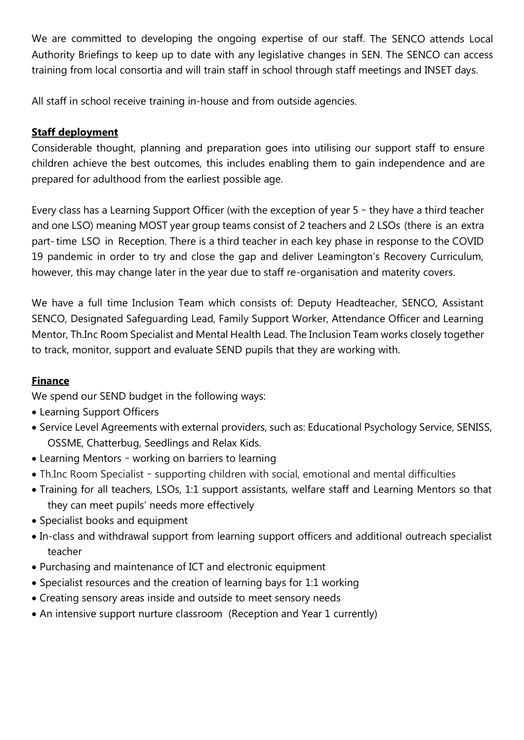We are committed to developing the ongoing expertise of our staff. The SENCO attends Local Authority Briefings to keep up to date with any legislative changes in SEN. The SENCO can access training from local consortia and will train staff in school through staff meetings and INSET days.

All staff in school receive training in-house and from outside agencies.

#### **Staff deployment**

Considerable thought, planning and preparation goes into utilising our support staff to ensure children achieve the best outcomes, this includes enabling them to gain independence and are prepared for adulthood from the earliest possible age.

Every class has a Learning Support Officer (with the exception of year 5 – they have a third teacher and one LSO) meaning MOST year group teams consist of 2 teachers and 2 LSOs (there is an extra part- time LSO in Reception. There is a third teacher in each key phase in response to the COVID 19 pandemic in order to try and close the gap and deliver Leamington's Recovery Curriculum, however, this may change later in the year due to staff re-organisation and materity covers.

We have a full time Inclusion Team which consists of: Deputy Headteacher, SENCO, Assistant SENCO, Designated Safeguarding Lead, Family Support Worker, Attendance Officer and Learning Mentor, Th.Inc Room Specialist and Mental Health Lead. The Inclusion Team works closely together to track, monitor, support and evaluate SEND pupils that they are working with.

# **Finance**

We spend our SEND budget in the following ways:

- Learning Support Officers
- Service Level Agreements with external providers, such as: Educational Psychology Service, SENISS, OSSME, Chatterbug, Seedlings and Relax Kids.
- Learning Mentors working on barriers to learning
- Th.Inc Room Specialist supporting children with social, emotional and mental difficulties
- Training for all teachers, LSOs, 1:1 support assistants, welfare staff and Learning Mentors so that they can meet pupils' needs more effectively
- Specialist books and equipment
- In-class and withdrawal support from learning support officers and additional outreach specialist teacher
- Purchasing and maintenance of ICT and electronic equipment
- Specialist resources and the creation of learning bays for 1:1 working
- Creating sensory areas inside and outside to meet sensory needs
- An intensive support nurture classroom (Reception and Year 1 currently)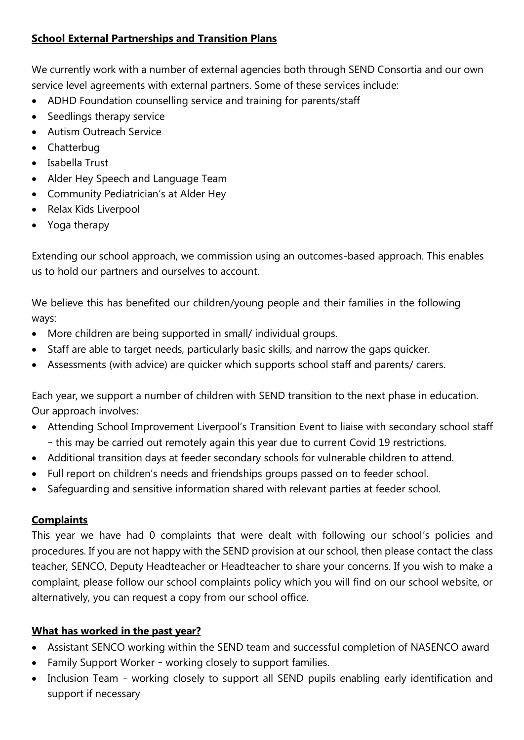### **School External Partnerships and Transition Plans**

We currently work with a number of external agencies both through SEND Consortia and our own service level agreements with external partners. Some of these services include:

- ADHD Foundation counselling service and training for parents/staff
- Seedlings therapy service
- Autism Outreach Service
- Chatterbug
- Isabella Trust
- Alder Hey Speech and Language Team
- Community Pediatrician's at Alder Hey
- Relax Kids Liverpool
- Yoga therapy

Extending our school approach, we commission using an outcomes-based approach. This enables us to hold our partners and ourselves to account.

We believe this has benefited our children/young people and their families in the following ways:

- More children are being supported in small/ individual groups.
- Staff are able to target needs, particularly basic skills, and narrow the gaps quicker.
- Assessments (with advice) are quicker which supports school staff and parents/ carers.

Each year, we support a number of children with SEND transition to the next phase in education. Our approach involves:

- Attending School Improvement Liverpool's Transition Event to liaise with secondary school staff – this may be carried out remotely again this year due to current Covid 19 restrictions.
- Additional transition days at feeder secondary schools for vulnerable children to attend.
- Full report on children's needs and friendships groups passed on to feeder school.
- Safeguarding and sensitive information shared with relevant parties at feeder school.

# **Complaints**

This year we have had 0 complaints that were dealt with following our school's policies and procedures. If you are not happy with the SEND provision at our school, then please contact the class teacher, SENCO, Deputy Headteacher or Headteacher to share your concerns. If you wish to make a complaint, please follow our school complaints policy which you will find on our school website, or alternatively, you can request a copy from our school office.

# **What has worked in the past year?**

- Assistant SENCO working within the SEND team and successful completion of NASENCO award
- Family Support Worker working closely to support families.
- Inclusion Team working closely to support all SEND pupils enabling early identification and support if necessary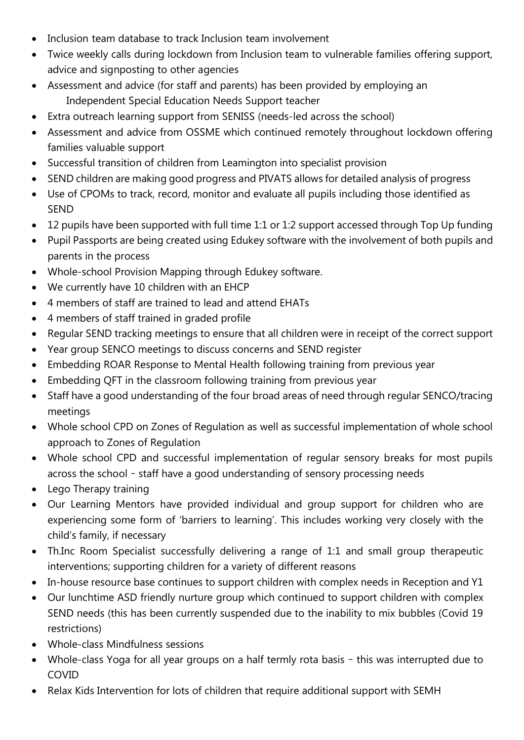- Inclusion team database to track Inclusion team involvement
- Twice weekly calls during lockdown from Inclusion team to vulnerable families offering support, advice and signposting to other agencies
- Assessment and advice (for staff and parents) has been provided by employing an Independent Special Education Needs Support teacher
- Extra outreach learning support from SENISS (needs-led across the school)
- Assessment and advice from OSSME which continued remotely throughout lockdown offering families valuable support
- Successful transition of children from Leamington into specialist provision
- SEND children are making good progress and PIVATS allows for detailed analysis of progress
- Use of CPOMs to track, record, monitor and evaluate all pupils including those identified as SEND
- 12 pupils have been supported with full time 1:1 or 1:2 support accessed through Top Up funding
- Pupil Passports are being created using Edukey software with the involvement of both pupils and parents in the process
- Whole-school Provision Mapping through Edukey software.
- We currently have 10 children with an EHCP
- 4 members of staff are trained to lead and attend EHATs
- 4 members of staff trained in graded profile
- Regular SEND tracking meetings to ensure that all children were in receipt of the correct support
- Year group SENCO meetings to discuss concerns and SEND register
- Embedding ROAR Response to Mental Health following training from previous year
- Embedding QFT in the classroom following training from previous year
- Staff have a good understanding of the four broad areas of need through regular SENCO/tracing meetings
- Whole school CPD on Zones of Regulation as well as successful implementation of whole school approach to Zones of Regulation
- Whole school CPD and successful implementation of regular sensory breaks for most pupils across the school – staff have a good understanding of sensory processing needs
- Lego Therapy training
- Our Learning Mentors have provided individual and group support for children who are experiencing some form of 'barriers to learning'. This includes working very closely with the child's family, if necessary
- Th.Inc Room Specialist successfully delivering a range of 1:1 and small group therapeutic interventions; supporting children for a variety of different reasons
- In-house resource base continues to support children with complex needs in Reception and Y1
- Our lunchtime ASD friendly nurture group which continued to support children with complex SEND needs (this has been currently suspended due to the inability to mix bubbles (Covid 19 restrictions)
- Whole-class Mindfulness sessions
- Whole-class Yoga for all year groups on a half termly rota basis this was interrupted due to COVID
- Relax Kids Intervention for lots of children that require additional support with SEMH